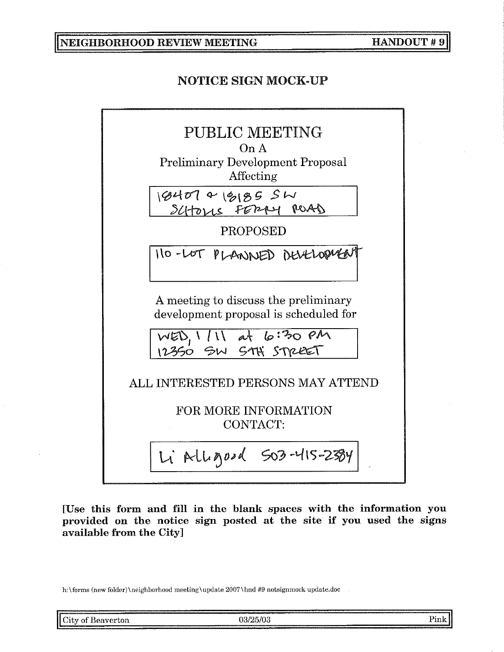**NEIGHBORHOOD REVIEW MEETING** 

## **NOTICE SIGN MOCK-UP**



[Use this form and fill in the blank spaces with the information you provided on the notice sign posted at the site if you used the signs available from the City]

h:\forms (new folder)\neighborhood meeting\update 2007\hnd #9 notsignmock update.doc

|                                                                                                                                                                                                                                     | the contract of the contract of the contract of the contract of the contract of the contract of the contract of | www.communication.com/www.communication.com/www.com/www.com/www.com/www.com/www.com/www.com/www.com/www.com/www.com/www.com/www.com/www.com/www.com/www.com/www.com/www.com/www.com/www.com/www.com/www.com/www.com/www.com/ww |  |
|-------------------------------------------------------------------------------------------------------------------------------------------------------------------------------------------------------------------------------------|-----------------------------------------------------------------------------------------------------------------|--------------------------------------------------------------------------------------------------------------------------------------------------------------------------------------------------------------------------------|--|
| <b>The communication of the communication of the complete of the communication of the communication of the communication of the communication of the communication of the communication of the communication of the communicati</b> | City of Beaverton                                                                                               |                                                                                                                                                                                                                                |  |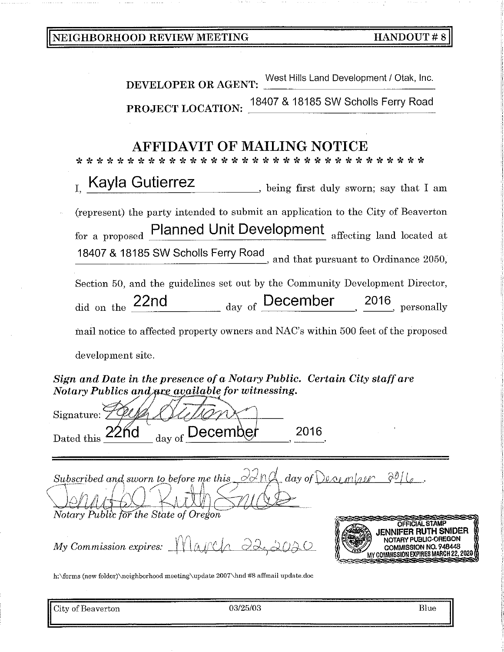| NEIGHBORHOOD REVIEW MEETING |  |  |
|-----------------------------|--|--|
|-----------------------------|--|--|

| NEIGHBORHOOD REVIEW MEETING                                                                                                  | <b>HANDOUT#8</b>                                                                                                                                                                                                      |
|------------------------------------------------------------------------------------------------------------------------------|-----------------------------------------------------------------------------------------------------------------------------------------------------------------------------------------------------------------------|
|                                                                                                                              |                                                                                                                                                                                                                       |
| <b>DEVELOPER OR AGENT:</b>                                                                                                   | West Hills Land Development / Otak, Inc.                                                                                                                                                                              |
| PROJECT LOCATION:                                                                                                            | 18407 & 18185 SW Scholls Ferry Road                                                                                                                                                                                   |
|                                                                                                                              |                                                                                                                                                                                                                       |
| <b>AFFIDAVIT OF MAILING NOTICE</b>                                                                                           |                                                                                                                                                                                                                       |
| Kayla Gutierrez<br>Ī.                                                                                                        | being first duly sworn; say that I am                                                                                                                                                                                 |
| for a proposed                                                                                                               | (represent) the party intended to submit an application to the City of Beaverton<br>Planned Unit Development affecting land located at<br>18407 & 18185 SW Scholls Ferry Road<br>and that pursuant to Ordinance 2050, |
|                                                                                                                              | Section 50, and the guidelines set out by the Community Development Director,<br>did on the $\frac{22nd}{\log \log n}$ day of December $\frac{2016}{\log \log n}$ personally                                          |
| development site.                                                                                                            | mail notice to affected property owners and NAC's within 500 feet of the proposed                                                                                                                                     |
| Sign and Date in the presence of a Notary Public. Certain City staff are<br>Notary Publics and are available for witnessing. |                                                                                                                                                                                                                       |
| Signature:                                                                                                                   |                                                                                                                                                                                                                       |
| <u> Jecember</u><br>$day \text{ of }$<br>Dated this                                                                          | 2016                                                                                                                                                                                                                  |
| Subscribed and sworn to before me this<br>Notary Public for the State of Oregon                                              | $\alpha$ In $\alpha$<br>$\frac{1}{2}$ day of December $\frac{1}{2}$ $\frac{1}{2}$                                                                                                                                     |
| My Commission expires: $\frac{1}{\sqrt{12}}$                                                                                 | OFFICIAL STAMP<br>JENNIFER RUTH SNIDER<br>NOTARY PUBLIC-OREGON<br>COMMISSION NO. 948448<br>MY COMMISSION EXPIRES MARCH 22, 2020                                                                                       |
| h:\forms (new folder)\neighborhood meeting\update 2007\hnd #8 affmail update.doc                                             |                                                                                                                                                                                                                       |

City of Beaverton

 $03/25/03$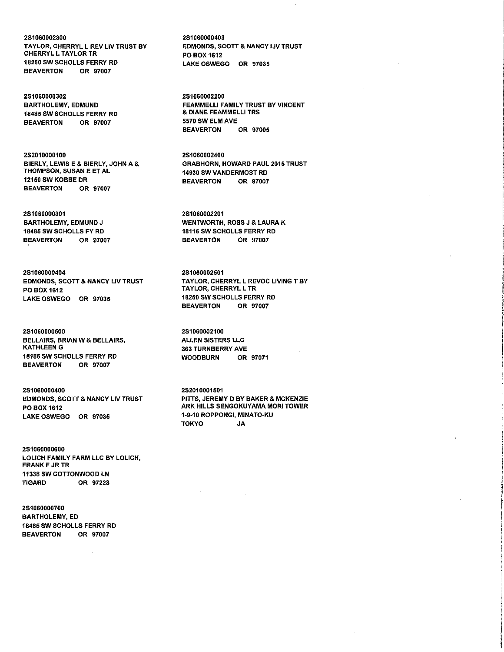2S1060002300 TAYLOR, CHERRYL L REV LIV TRUST BY CHERRYL L TAYLOR TR 18250 SW SCHOLLS FERRY RD BEAVERTON OR 97007

2S1060000302 BARTHOLEMY, EDMUND 18485 SW SCHOLLS FERRY RD BEAVERTON OR 97007

2S2010000100 BIERLY, LEWIS E & BIERLY, JOHN A & THOMPSON, SUSAN E ET AL 12150 SW KOBBE DR BEAVERTON OR 97007

2S1060000301 BARTHOLEMY, EDMUND J 18485 SW SCHOLLS FY RD BEAVERTON OR 97007

2S1060000404 EDMONDS, SCOTT & NANCY LIV TRUST PO BOX 1612 LAKE OSWEGO OR 97035

2S1060000500 BELLAIRS, BRIAN W & BELLAIRS, KATHLEEN G 18185 SW SCHOLLS FERRY RD BEAVERTON OR 97007

2S1060000400 EDMONDS, SCOTT & NANCY LIV TRUST PO BOX 1612 LAKE OSWEGO OR 97035

2S1060000600 LOLICH FAMILY FARM LLC BY LOLICH, FRANK F JR TR 11338 SW COTTONWOOD LN TIGARD OR 97223

2S1060000700 BARTHOLEMY, ED 18485 SW SCHOLLS FERRY RD BEAVERTON OR 97007

2S1060000403 EDMONDS, SCOTT & NANCY LIV TRUST PO BOX 1612 LAKE OSWEGO OR 97035

2S1060002200 FEAMMELLI FAMILY TRUST BY VINCENT & DIANE FEAMMELLI TRS 5570 SW ELM AVE BEAVERTON OR 97005

2S1060002400 GRABHORN, HOWARD PAUL 2015 TRUST 14930 SW VANDERMOST RD<br>BEAVERTON OR 97007 **BEAVERTON** 

2S1060002201 WENTWORTH, ROSS J & LAURA K 18116 SW SCHOLLS FERRY RD BEAVERTON OR 97007

2S1060002501 TAYLOR, CHERRYL L REVOC LIVING T BY TAYLOR, CHERRYL L TR 18250 SW SCHOLLS FERRY RD BEAVERTON OR 97007

2S1060002100 ALLEN SISTERS LLC **363 TURNBERRY AVE** WOODBURN OR 97071

2S201 0001501 PITTS, JEREMY D BY BAKER & MCKENZIE ARK HILLS SENGOKUYAMA MORI TOWER 1·9·10 ROPPONGI, MINATO·KU TOKYO JA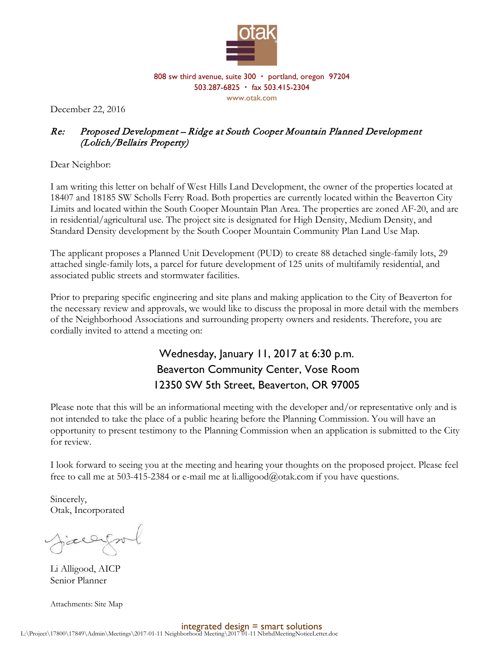

808 sw third avenue, suite 300 · portland, oregon 97204 503.287-6825 fax 503.415-2304 www.otak.com

December 22, 2016

## Re: Proposed Development – Ridge at South Cooper Mountain Planned Development (Lolich/Bellairs Property)

Dear Neighbor:

I am writing this letter on behalf of West Hills Land Development, the owner of the properties located at 18407 and 18185 SW Scholls Ferry Road. Both properties are currently located within the Beaverton City Limits and located within the South Cooper Mountain Plan Area. The properties are zoned AF-20, and are in residential/agricultural use. The project site is designated for High Density, Medium Density, and Standard Density development by the South Cooper Mountain Community Plan Land Use Map.

The applicant proposes a Planned Unit Development (PUD) to create 88 detached single-family lots, 29 attached single-family lots, a parcel for future development of 125 units of multifamily residential, and associated public streets and stormwater facilities.

Prior to preparing specific engineering and site plans and making application to the City of Beaverton for the necessary review and approvals, we would like to discuss the proposal in more detail with the members of the Neighborhood Associations and surrounding property owners and residents. Therefore, you are cordially invited to attend a meeting on:

## Wednesday, January 11, 2017 at 6:30 p.m. Beaverton Community Center, Vose Room 12350 SW 5th Street, Beaverton, OR 97005

Please note that this will be an informational meeting with the developer and/or representative only and is not intended to take the place of a public hearing before the Planning Commission. You will have an opportunity to present testimony to the Planning Commission when an application is submitted to the City for review.

I look forward to seeing you at the meeting and hearing your thoughts on the proposed project. Please feel free to call me at 503-415-2384 or e-mail me at li.alligood@otak.com if you have questions.

Sincerely, Otak, Incorporated

Jierryml

Li Alligood, AICP Senior Planner

Attachments: Site Map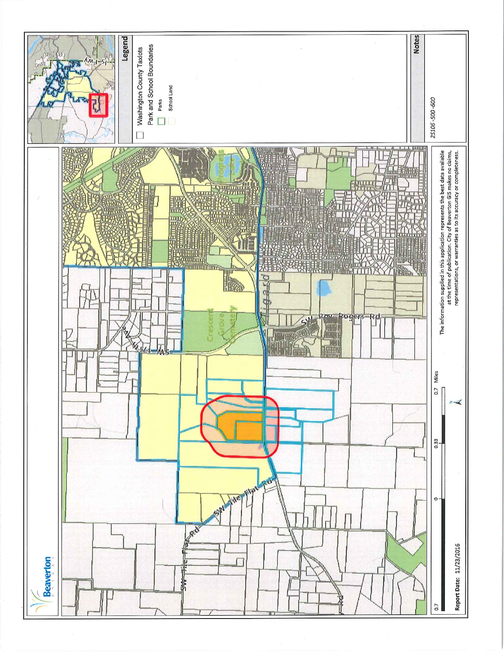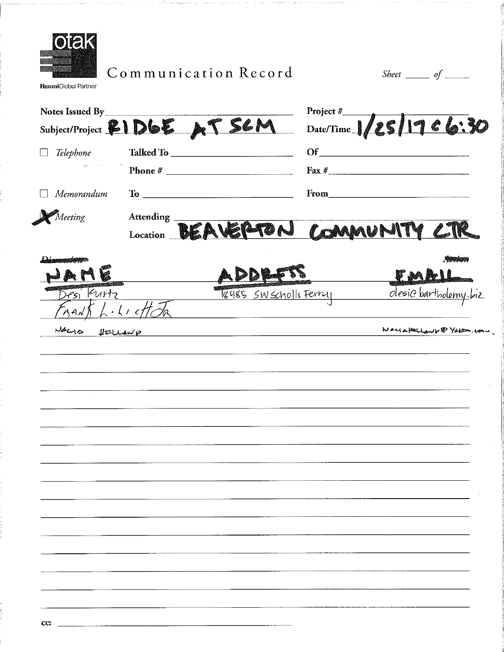

Communication Record

Sheet  $\_\_$  of  $\_\_$ 

**HanmiGlobal Partner** 

| Notes Issued By<br>Subject/Project &1D6E AT SEM Date/Time 1/25/17 C6:30 |                                               |                                               |                                   |                           |
|-------------------------------------------------------------------------|-----------------------------------------------|-----------------------------------------------|-----------------------------------|---------------------------|
| $\Box$ Telephone                                                        |                                               |                                               |                                   |                           |
|                                                                         |                                               |                                               |                                   |                           |
| Memorandum                                                              |                                               |                                               | <b>From</b>                       |                           |
| Meeting                                                                 | Attending                                     |                                               | Attending BEAVERTON COMMUNITY CTR |                           |
| JAME                                                                    |                                               |                                               | $-$ FMAI                          |                           |
|                                                                         | vesi Kurtz 1gysts SW Scholls Ferry<br>590/666 |                                               |                                   | desic bartholemy.biz      |
| VALIS HELLAND                                                           |                                               | <u> 1980 - Jan Samuel II, martin de la po</u> |                                   | Noclaptulaup & Yohom, com |
|                                                                         |                                               |                                               |                                   |                           |
|                                                                         |                                               |                                               |                                   |                           |
|                                                                         |                                               |                                               |                                   |                           |
|                                                                         |                                               |                                               |                                   |                           |
|                                                                         |                                               |                                               |                                   |                           |
|                                                                         |                                               |                                               |                                   |                           |
|                                                                         |                                               |                                               |                                   |                           |
|                                                                         |                                               |                                               |                                   |                           |
|                                                                         |                                               |                                               |                                   |                           |
|                                                                         |                                               |                                               |                                   |                           |
|                                                                         |                                               |                                               |                                   |                           |
|                                                                         |                                               |                                               |                                   |                           |
|                                                                         |                                               |                                               |                                   |                           |
|                                                                         |                                               |                                               |                                   |                           |